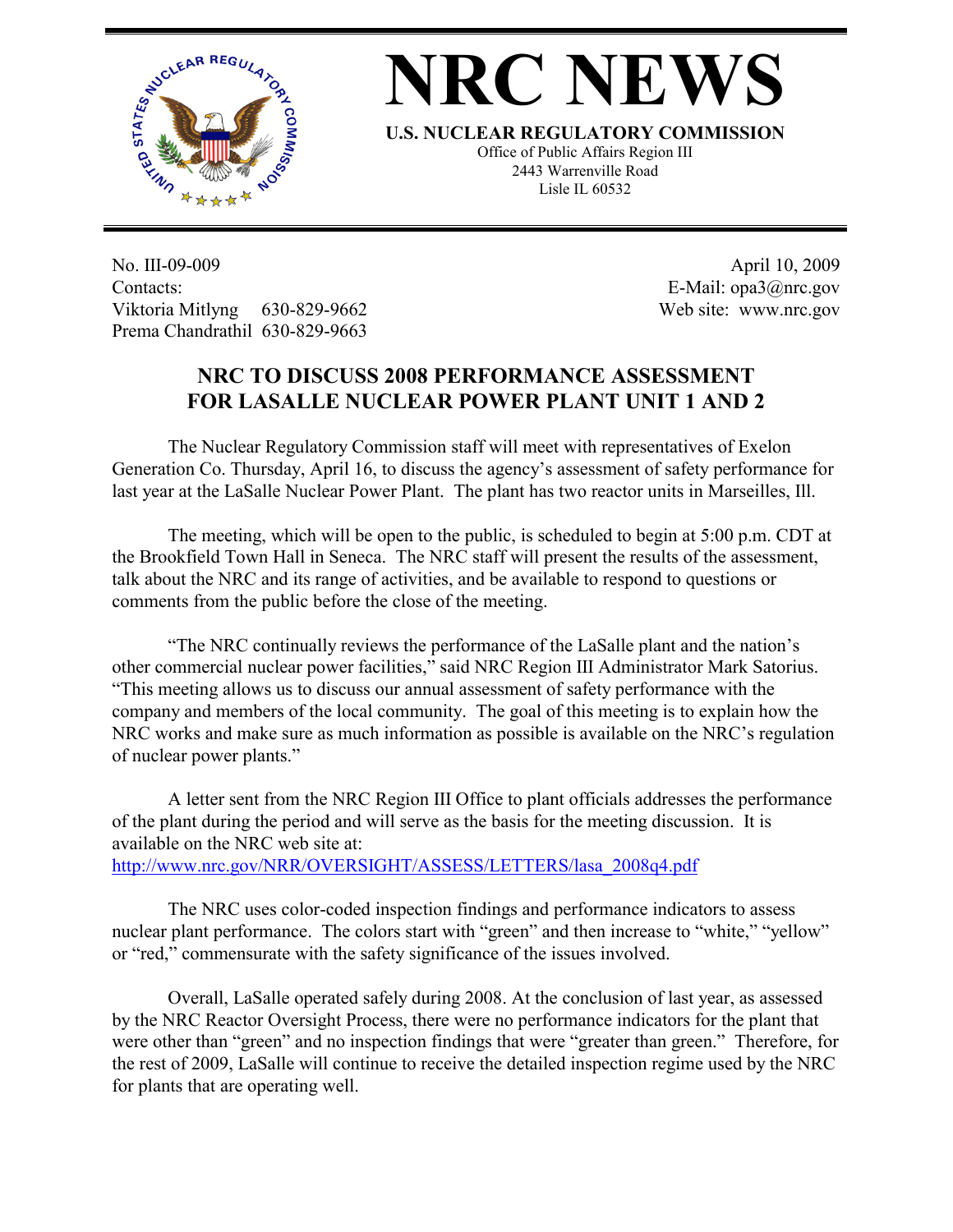

## **NRC NEWS**

**U.S. NUCLEAR REGULATORY COMMISSION**

Office of Public Affairs Region III 2443 Warrenville Road Lisle IL 60532

No. III-09-009 Contacts: Viktoria Mitlyng 630-829-9662 Prema Chandrathil 630-829-9663

 April 10, 2009 E-Mail: opa3@nrc.gov Web site: www.nrc.gov

## **NRC TO DISCUSS 2008 PERFORMANCE ASSESSMENT FOR LASALLE NUCLEAR POWER PLANT UNIT 1 AND 2**

 The Nuclear Regulatory Commission staff will meet with representatives of Exelon Generation Co. Thursday, April 16, to discuss the agency's assessment of safety performance for last year at the LaSalle Nuclear Power Plant. The plant has two reactor units in Marseilles, Ill.

 The meeting, which will be open to the public, is scheduled to begin at 5:00 p.m. CDT at the Brookfield Town Hall in Seneca. The NRC staff will present the results of the assessment, talk about the NRC and its range of activities, and be available to respond to questions or comments from the public before the close of the meeting.

 "The NRC continually reviews the performance of the LaSalle plant and the nation's other commercial nuclear power facilities," said NRC Region III Administrator Mark Satorius. "This meeting allows us to discuss our annual assessment of safety performance with the company and members of the local community. The goal of this meeting is to explain how the NRC works and make sure as much information as possible is available on the NRC's regulation of nuclear power plants."

 A letter sent from the NRC Region III Office to plant officials addresses the performance of the plant during the period and will serve as the basis for the meeting discussion. It is available on the NRC web site at: http://www.nrc.gov/NRR/OVERSIGHT/ASSESS/LETTERS/lasa\_2008q4.pdf

 The NRC uses color-coded inspection findings and performance indicators to assess nuclear plant performance. The colors start with "green" and then increase to "white," "yellow" or "red," commensurate with the safety significance of the issues involved.

Overall, LaSalle operated safely during 2008. At the conclusion of last year, as assessed by the NRC Reactor Oversight Process, there were no performance indicators for the plant that were other than "green" and no inspection findings that were "greater than green." Therefore, for the rest of 2009, LaSalle will continue to receive the detailed inspection regime used by the NRC for plants that are operating well.